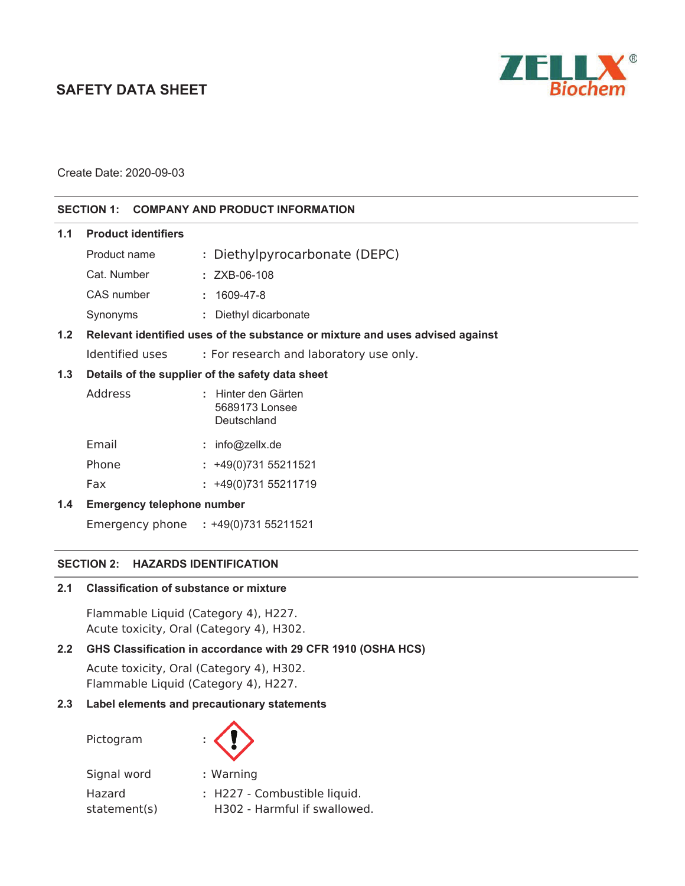# **SAFETY DATA SHEET**



Create Date: 2020-09-03

### **SECTION 1: COMPANY AND PRODUCT INFORMATION**

| 1.1                                                     | <b>Product identifiers</b>                                                    |                                                      |
|---------------------------------------------------------|-------------------------------------------------------------------------------|------------------------------------------------------|
|                                                         | Product name                                                                  | : Diethylpyrocarbonate (DEPC)                        |
|                                                         | Cat. Number                                                                   | $: ZXB-06-108$                                       |
|                                                         | CAS number                                                                    | $: 1609 - 47 - 8$                                    |
|                                                         | Synonyms                                                                      | : Diethyl dicarbonate                                |
| 1.2                                                     | Relevant identified uses of the substance or mixture and uses advised against |                                                      |
|                                                         | Identified uses                                                               | : For research and laboratory use only.              |
| 1.3<br>Details of the supplier of the safety data sheet |                                                                               |                                                      |
|                                                         | Address                                                                       | : Hinter den Gärten<br>5689173 Lonsee<br>Deutschland |
|                                                         | Email                                                                         | : $info@zelX.de$                                     |
|                                                         | Phone                                                                         | $: +49(0)73155211521$                                |
|                                                         | Fax                                                                           | $: +49(0)73155211719$                                |
| $1.4^{\circ}$                                           | <b>Emergency telephone number</b>                                             |                                                      |

Emergency phone **:** +49(0)731 55211521

#### **SECTION 2: HAZARDS IDENTIFICATION**

#### **2.1 Classification of substance or mixture**

Flammable Liquid (Category 4), H227. Acute toxicity, Oral (Category 4), H302.

### **2.2 GHS Classification in accordance with 29 CFR 1910 (OSHA HCS)**

Acute toxicity, Oral (Category 4), H302. Flammable Liquid (Category 4), H227.

### **2.3 Label elements and precautionary statements**

Pictogram **:** 



Signal word **:** Warning Hazard statement(s) **:** H227 - Combustible liquid. H302 - Harmful if swallowed.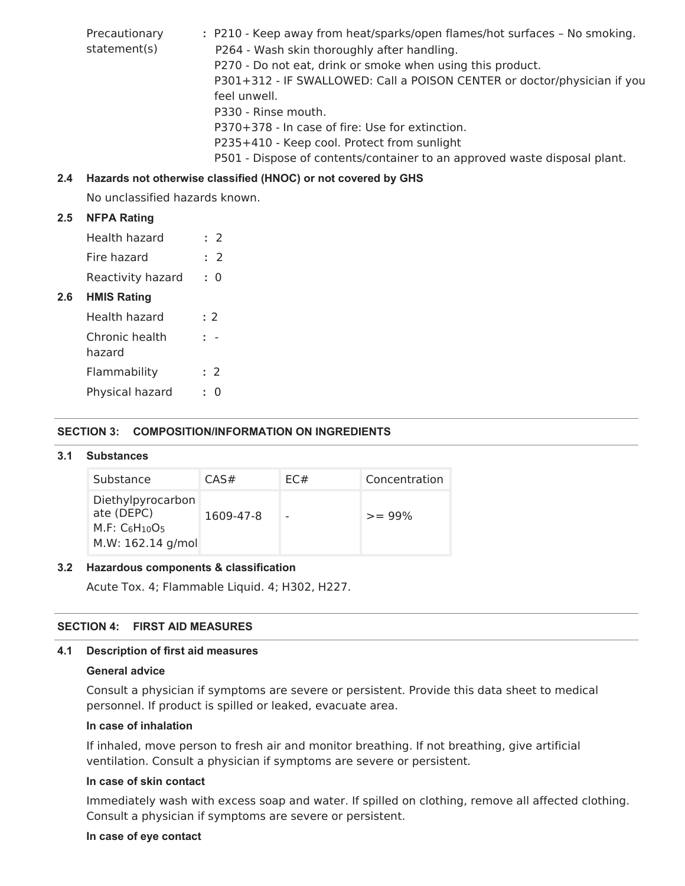Precautionary statement(s) **:** P210 - Keep away from heat/sparks/open flames/hot surfaces – No smoking. P264 - Wash skin thoroughly after handling. P270 - Do not eat, drink or smoke when using this product. P301+312 - IF SWALLOWED: Call a POISON CENTER or doctor/physician if you feel unwell. P330 - Rinse mouth. P370+378 - In case of fire: Use for extinction. P235+410 - Keep cool. Protect from sunlight P501 - Dispose of contents/container to an approved waste disposal plant.

# **2.4 Hazards not otherwise classified (HNOC) or not covered by GHS**

No unclassified hazards known.

### **2.5 NFPA Rating**

**2.6 HMIS Rating** 

| Health hazard        | : 2 |  |  |
|----------------------|-----|--|--|
| Fire hazard          | : 2 |  |  |
| Reactivity hazard    | : ი |  |  |
| <b>HMIS Rating</b>   |     |  |  |
| Health hazard<br>: 2 |     |  |  |
| Chronic health       |     |  |  |

| hazard          |     |
|-----------------|-----|
| Flammability    | : 2 |
| Physical hazard | ּ ∩ |

#### **SECTION 3: COMPOSITION/INFORMATION ON INGREDIENTS**

#### **3.1 Substances**

| Substance                                                                   | CAS#      | EC# | Concentration |
|-----------------------------------------------------------------------------|-----------|-----|---------------|
| Diethylpyrocarbon<br>ate (DEPC)<br>$M.F: C_6H_{10}O_5$<br>M.W: 162.14 g/mol | 1609-47-8 |     | $>= 99%$      |

#### **3.2 Hazardous components & classification**

Acute Tox. 4; Flammable Liquid. 4; H302, H227.

### **SECTION 4: FIRST AID MEASURES**

#### **4.1 Description of first aid measures**

#### **General advice**

Consult a physician if symptoms are severe or persistent. Provide this data sheet to medical personnel. If product is spilled or leaked, evacuate area.

### **In case of inhalation**

If inhaled, move person to fresh air and monitor breathing. If not breathing, give artificial ventilation. Consult a physician if symptoms are severe or persistent*.* 

# **In case of skin contact**

Immediately wash with excess soap and water. If spilled on clothing, remove all affected clothing. Consult a physician if symptoms are severe or persistent.

#### **In case of eye contact**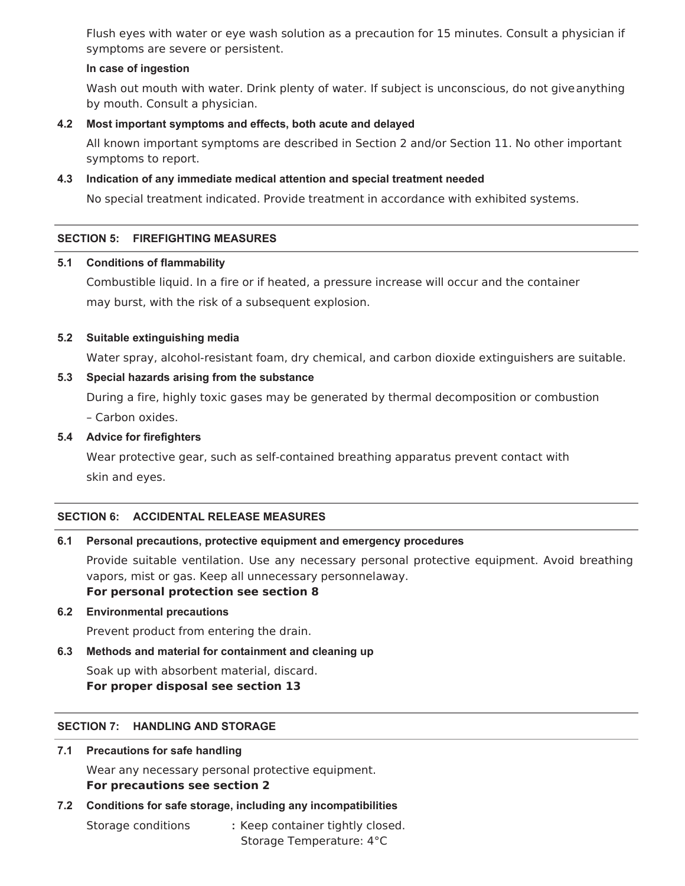Flush eyes with water or eye wash solution as a precaution for 15 minutes. Consult a physician if symptoms are severe or persistent.

### **In case of ingestion**

Wash out mouth with water. Drink plenty of water. If subject is unconscious, do not give anything by mouth. Consult a physician.

### **4.2 Most important symptoms and effects, both acute and delayed**

All known important symptoms are described in Section 2 and/or Section 11. No other important symptoms to report.

### **4.3 Indication of any immediate medical attention and special treatment needed**

No special treatment indicated. Provide treatment in accordance with exhibited systems.

# **SECTION 5: FIREFIGHTING MEASURES**

### **5.1 Conditions of flammability**

Combustible liquid. In a fire or if heated, a pressure increase will occur and the container may burst, with the risk of a subsequent explosion.

### **5.2 Suitable extinguishing media**

Water spray, alcohol-resistant foam, dry chemical, and carbon dioxide extinguishers are suitable.

### **5.3 Special hazards arising from the substance**

During a fire, highly toxic gases may be generated by thermal decomposition or combustion – Carbon oxides.

### **5.4 Advice for firefighters**

Wear protective gear, such as self-contained breathing apparatus prevent contact with skin and eyes.

# **SECTION 6: ACCIDENTAL RELEASE MEASURES**

### **6.1 Personal precautions, protective equipment and emergency procedures**

Provide suitable ventilation. Use any necessary personal protective equipment. Avoid breathing vapors, mist or gas. Keep all unnecessary personnelaway. **For personal protection see section 8** 

### **6.2 Environmental precautions**

Prevent product from entering the drain.

### **6.3 Methods and material for containment and cleaning up**

Soak up with absorbent material, discard. **For proper disposal see section 13** 

# **SECTION 7: HANDLING AND STORAGE**

### **7.1 Precautions for safe handling**

Wear any necessary personal protective equipment. **For precautions see section 2** 

### **7.2 Conditions for safe storage, including any incompatibilities**

Storage conditions **:** Keep container tightly closed. Storage Temperature: 4°C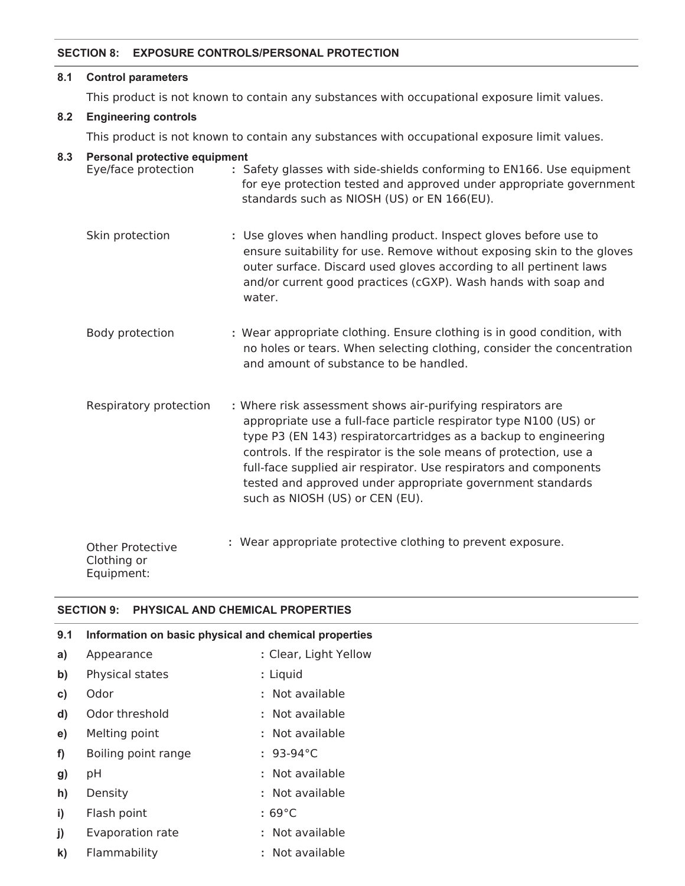### **SECTION 8: EXPOSURE CONTROLS/PERSONAL PROTECTION**

#### **8.1 Control parameters**

This product is not known to contain any substances with occupational exposure limit values.

# **8.2 Engineering controls**

This product is not known to contain any substances with occupational exposure limit values.

### **8.3 Personal protective equipment**

| Eye/face protection                    | : Safety glasses with side-shields conforming to EN166. Use equipment<br>for eye protection tested and approved under appropriate government<br>standards such as NIOSH (US) or EN 166(EU).                                                                                                                                                                                                                                                      |
|----------------------------------------|--------------------------------------------------------------------------------------------------------------------------------------------------------------------------------------------------------------------------------------------------------------------------------------------------------------------------------------------------------------------------------------------------------------------------------------------------|
| Skin protection                        | : Use gloves when handling product. Inspect gloves before use to<br>ensure suitability for use. Remove without exposing skin to the gloves<br>outer surface. Discard used gloves according to all pertinent laws<br>and/or current good practices (cGXP). Wash hands with soap and<br>water.                                                                                                                                                     |
| Body protection                        | : Wear appropriate clothing. Ensure clothing is in good condition, with<br>no holes or tears. When selecting clothing, consider the concentration<br>and amount of substance to be handled.                                                                                                                                                                                                                                                      |
| Respiratory protection                 | : Where risk assessment shows air-purifying respirators are<br>appropriate use a full-face particle respirator type N100 (US) or<br>type P3 (EN 143) respiratorcartridges as a backup to engineering<br>controls. If the respirator is the sole means of protection, use a<br>full-face supplied air respirator. Use respirators and components<br>tested and approved under appropriate government standards<br>such as NIOSH (US) or CEN (EU). |
| <b>Other Protective</b><br>Clothing or | : Wear appropriate protective clothing to prevent exposure.                                                                                                                                                                                                                                                                                                                                                                                      |

### **SECTION 9: PHYSICAL AND CHEMICAL PROPERTIES**

Equipment:

| 9.1          | Information on basic physical and chemical properties |                       |  |
|--------------|-------------------------------------------------------|-----------------------|--|
| a)           | Appearance                                            | : Clear, Light Yellow |  |
| $\mathbf{b}$ | Physical states                                       | : Liquid              |  |
| c)           | Odor                                                  | : Not available       |  |
| $\mathbf{d}$ | Odor threshold                                        | : Not available       |  |
| e)           | Melting point                                         | : Not available       |  |
| f            | Boiling point range                                   | $: 93-94^{\circ}C$    |  |
| g)           | pH                                                    | : Not available       |  |
| h)           | Density                                               | : Not available       |  |
| i)           | Flash point                                           | $:69^{\circ}$ C       |  |
| j)           | Evaporation rate                                      | : Not available       |  |
| $\mathbf{k}$ | Flammability                                          | : Not available       |  |
|              |                                                       |                       |  |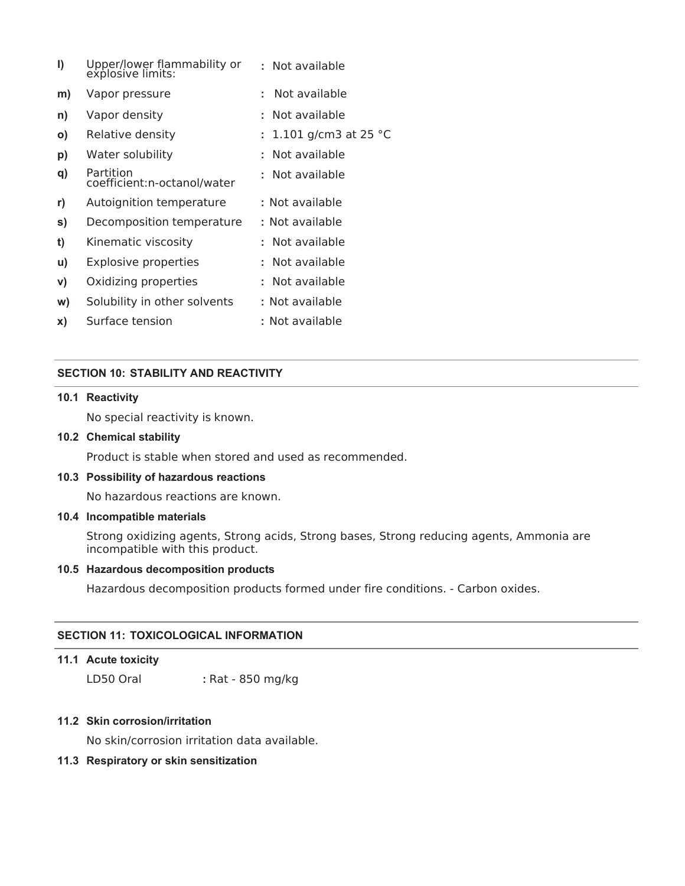| I)           | Upper/lower flammability or<br>explosive limits: | : Not available                |
|--------------|--------------------------------------------------|--------------------------------|
| m)           | Vapor pressure                                   | Not available<br>÷             |
| n)           | Vapor density                                    | Not available                  |
| $\mathbf{o}$ | Relative density                                 | 1.101 g/cm3 at 25 $^{\circ}$ C |
| p)           | Water solubility                                 | Not available                  |
| q)           | Partition<br>coefficient:n-octanol/water         | Not available                  |
| r)           | Autoignition temperature                         | : Not available                |
| s)           | Decomposition temperature                        | : Not available                |
| t)           | Kinematic viscosity                              | : Not available                |
| u)           | <b>Explosive properties</b>                      | : Not available                |
| V)           | Oxidizing properties                             | : Not available                |
| W)           | Solubility in other solvents                     | : Not available                |
| x)           | Surface tension                                  | : Not available                |

### **SECTION 10: STABILITY AND REACTIVITY**

### **10.1 Reactivity**

No special reactivity is known.

#### **10.2 Chemical stability**

Product is stable when stored and used as recommended.

#### **10.3 Possibility of hazardous reactions**

No hazardous reactions are known.

### **10.4 Incompatible materials**

Strong oxidizing agents, Strong acids, Strong bases, Strong reducing agents, Ammonia are incompatible with this product.

### **10.5 Hazardous decomposition products**

Hazardous decomposition products formed under fire conditions. - Carbon oxides.

#### **SECTION 11: TOXICOLOGICAL INFORMATION**

### **11.1 Acute toxicity**

LD50 Oral **:** Rat - 850 mg/kg

### **11.2 Skin corrosion/irritation**

No skin/corrosion irritation data available.

### **11.3 Respiratory or skin sensitization**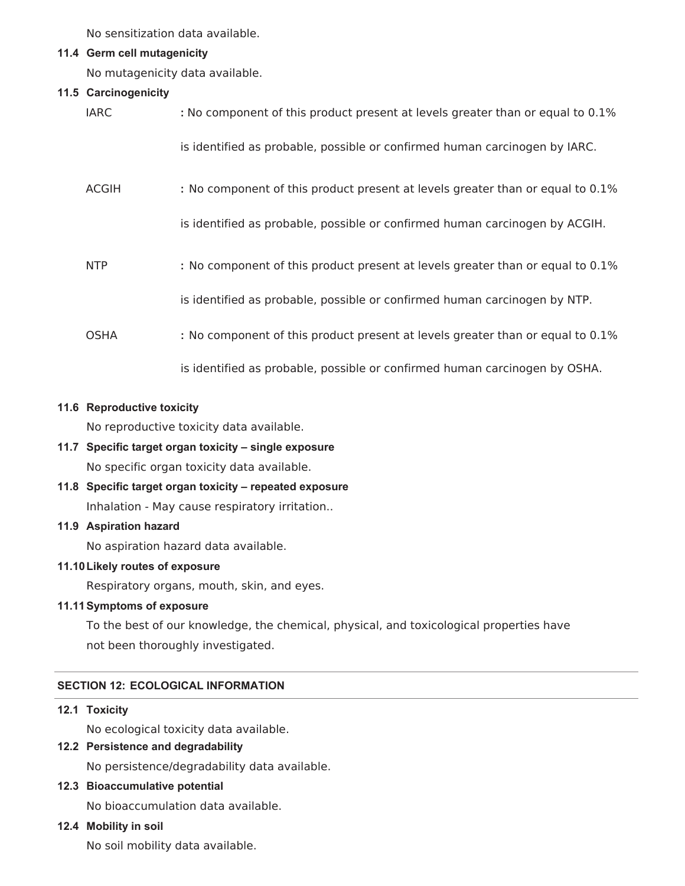No sensitization data available.

### **11.4 Germ cell mutagenicity**

No mutagenicity data available.

### **11.5 Carcinogenicity**

| <b>IARC</b>  | : No component of this product present at levels greater than or equal to 0.1% |
|--------------|--------------------------------------------------------------------------------|
|              | is identified as probable, possible or confirmed human carcinogen by IARC.     |
| <b>ACGIH</b> | : No component of this product present at levels greater than or equal to 0.1% |
|              | is identified as probable, possible or confirmed human carcinogen by ACGIH.    |
| <b>NTP</b>   | : No component of this product present at levels greater than or equal to 0.1% |
|              | is identified as probable, possible or confirmed human carcinogen by NTP.      |
| <b>OSHA</b>  | : No component of this product present at levels greater than or equal to 0.1% |
|              | is identified as probable, possible or confirmed human carcinogen by OSHA.     |

### **11.6 Reproductive toxicity**

No reproductive toxicity data available.

# **11.7 Specific target organ toxicity – single exposure**  No specific organ toxicity data available.

**11.8 Specific target organ toxicity – repeated exposure**  Inhalation - May cause respiratory irritation..

### **11.9 Aspiration hazard**

No aspiration hazard data available.

### **11.10 Likely routes of exposure**

Respiratory organs, mouth, skin, and eyes.

### **11.11 Symptoms of exposure**

To the best of our knowledge, the chemical, physical, and toxicological properties have not been thoroughly investigated.

# **SECTION 12: ECOLOGICAL INFORMATION**

### **12.1 Toxicity**

No ecological toxicity data available.

# **12.2 Persistence and degradability**

No persistence/degradability data available.

### **12.3 Bioaccumulative potential**

No bioaccumulation data available.

### **12.4 Mobility in soil**

No soil mobility data available.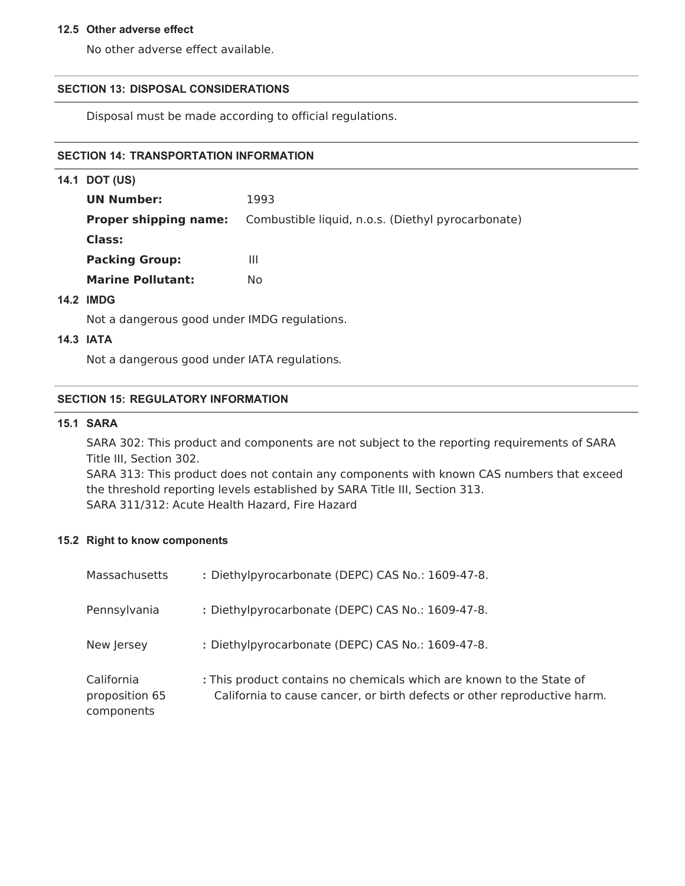#### **12.5 Other adverse effect**

No other adverse effect available.

### **SECTION 13: DISPOSAL CONSIDERATIONS**

Disposal must be made according to official regulations.

# **SECTION 14: TRANSPORTATION INFORMATION**

| 14.1 DOT (US)                |                                                    |
|------------------------------|----------------------------------------------------|
| <b>UN Number:</b>            | 1993                                               |
| <b>Proper shipping name:</b> | Combustible liquid, n.o.s. (Diethyl pyrocarbonate) |
| Class:                       |                                                    |
| <b>Packing Group:</b>        | Ш                                                  |
| <b>Marine Pollutant:</b>     | No                                                 |
|                              |                                                    |

### **14.2 IMDG**

Not a dangerous good under IMDG regulations.

### **14.3 IATA**

Not a dangerous good under IATA regulations*.* 

#### **SECTION 15: REGULATORY INFORMATION**

#### **15.1 SARA**

SARA 302: This product and components are not subject to the reporting requirements of SARA Title III, Section 302.

SARA 313: This product does not contain any components with known CAS numbers that exceed the threshold reporting levels established by SARA Title III, Section 313. SARA 311/312: Acute Health Hazard, Fire Hazard

#### **15.2 Right to know components**

| Massachusetts                              | : Diethylpyrocarbonate (DEPC) CAS No.: 1609-47-8.                                                                                                |
|--------------------------------------------|--------------------------------------------------------------------------------------------------------------------------------------------------|
| Pennsylvania                               | : Diethylpyrocarbonate (DEPC) CAS No.: 1609-47-8.                                                                                                |
| New Jersey                                 | : Diethylpyrocarbonate (DEPC) CAS No.: 1609-47-8.                                                                                                |
| California<br>proposition 65<br>components | : This product contains no chemicals which are known to the State of<br>California to cause cancer, or birth defects or other reproductive harm. |